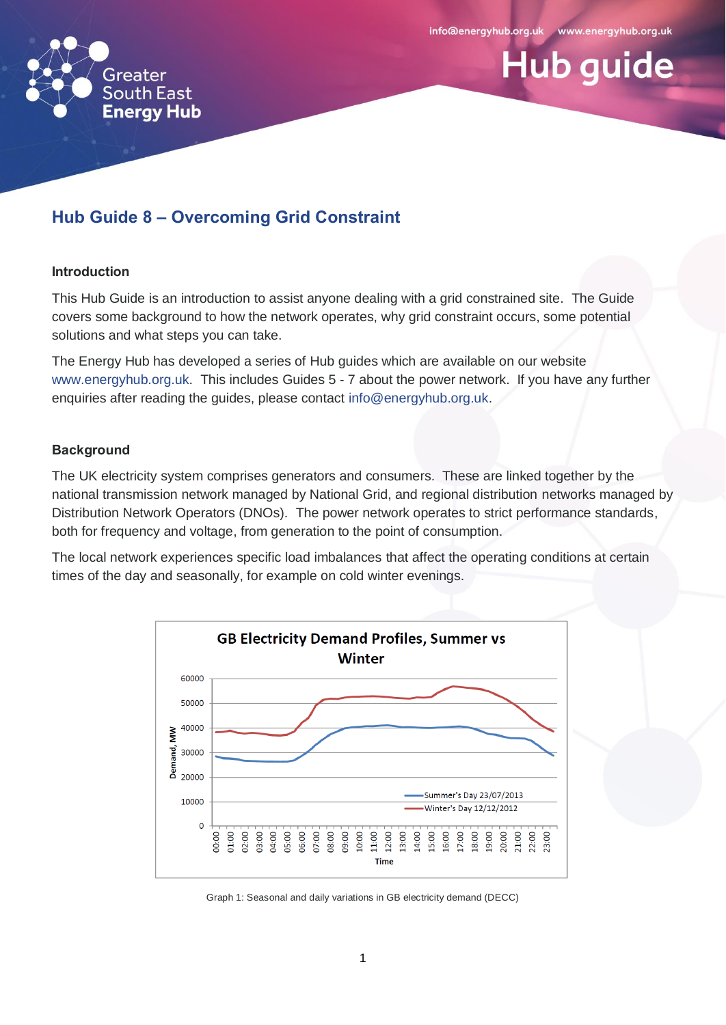

# **Hub guide**

# **Hub Guide 8 – Overcoming Grid Constraint**

#### **Introduction**

This Hub Guide is an introduction to assist anyone dealing with a grid constrained site. The Guide covers some background to how the network operates, why grid constraint occurs, some potential solutions and what steps you can take.

The Energy Hub has developed a series of Hub guides which are available on our website [www.energyhub.org.uk.](http://www.energyhub.org.uk/) This includes Guides 5 - 7 about the power network. If you have any further enquiries after reading the guides, please contact [info@energyhub.org.uk.](mailto:info@energyhub.org.uk)

# **Background**

The UK electricity system comprises generators and consumers. These are linked together by the national transmission network managed by National Grid, and regional distribution networks managed by Distribution Network Operators (DNOs). The power network operates to strict performance standards, both for frequency and voltage, from generation to the point of consumption.

The local network experiences specific load imbalances that affect the operating conditions at certain times of the day and seasonally, for example on cold winter evenings.



Graph 1: Seasonal and daily variations in GB electricity demand (DECC)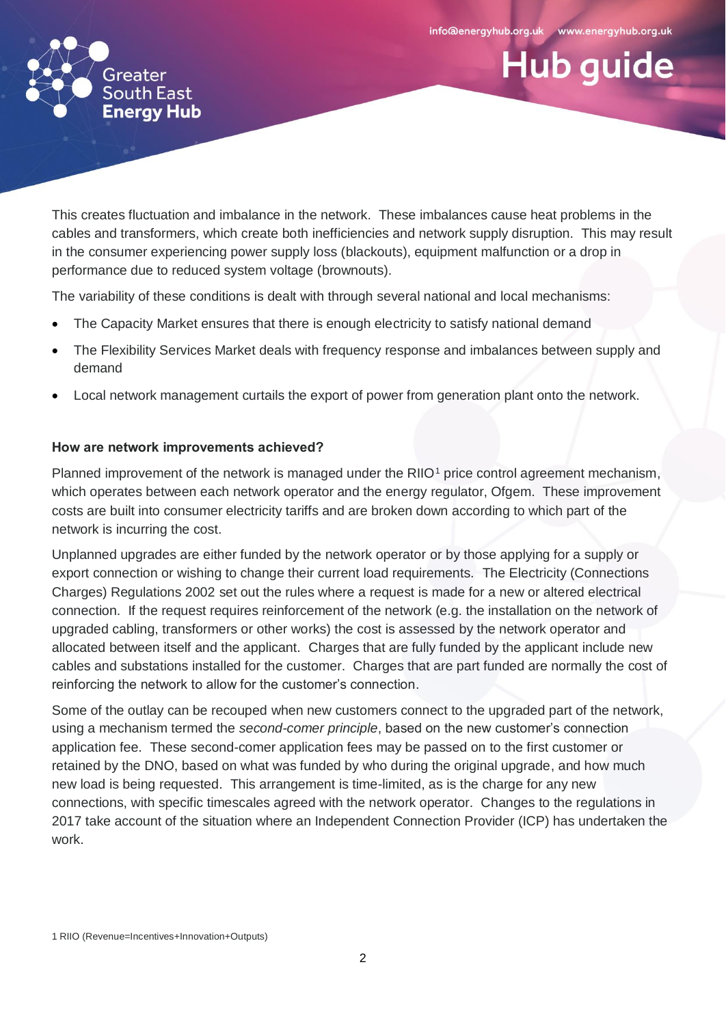**Hub guide** 



This creates fluctuation and imbalance in the network. These imbalances cause heat problems in the cables and transformers, which create both inefficiencies and network supply disruption. This may result in the consumer experiencing power supply loss (blackouts), equipment malfunction or a drop in performance due to reduced system voltage (brownouts).

The variability of these conditions is dealt with through several national and local mechanisms:

- The Capacity Market ensures that there is enough electricity to satisfy national demand
- The Flexibility Services Market deals with frequency response and imbalances between supply and demand
- Local network management curtails the export of power from generation plant onto the network.

# **How are network improvements achieved?**

Planned improvement of the network is managed under the RIIO<sup>1</sup> price control agreement mechanism, which operates between each network operator and the energy regulator, Ofgem. These improvement costs are built into consumer electricity tariffs and are broken down according to which part of the network is incurring the cost.

Unplanned upgrades are either funded by the network operator or by those applying for a supply or export connection or wishing to change their current load requirements. The Electricity (Connections Charges) Regulations 2002 set out the rules where a request is made for a new or altered electrical connection. If the request requires reinforcement of the network (e.g. the installation on the network of upgraded cabling, transformers or other works) the cost is assessed by the network operator and allocated between itself and the applicant. Charges that are fully funded by the applicant include new cables and substations installed for the customer. Charges that are part funded are normally the cost of reinforcing the network to allow for the customer's connection.

Some of the outlay can be recouped when new customers connect to the upgraded part of the network, using a mechanism termed the *second-comer principle*, based on the new customer's connection application fee. These second-comer application fees may be passed on to the first customer or retained by the DNO, based on what was funded by who during the original upgrade, and how much new load is being requested. This arrangement is time-limited, as is the charge for any new connections, with specific timescales agreed with the network operator. Changes to the regulations in 2017 take account of the situation where an Independent Connection Provider (ICP) has undertaken the work.

<sup>1</sup> RIIO (Revenue=Incentives+Innovation+Outputs)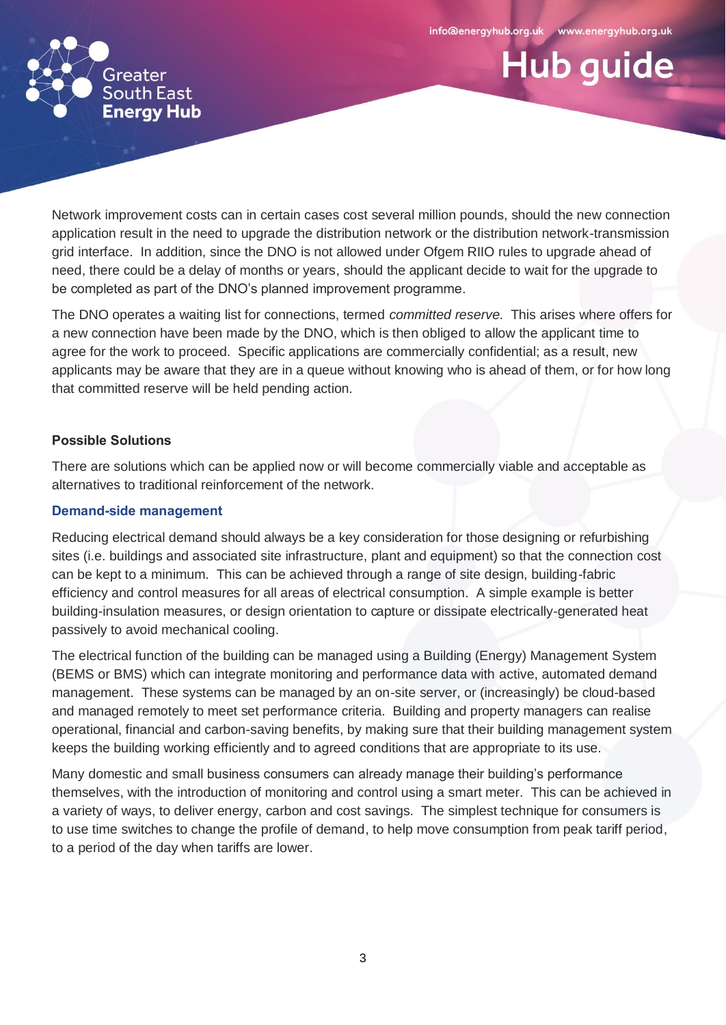**Hub guide** 



Network improvement costs can in certain cases cost several million pounds, should the new connection application result in the need to upgrade the distribution network or the distribution network-transmission grid interface. In addition, since the DNO is not allowed under Ofgem RIIO rules to upgrade ahead of need, there could be a delay of months or years, should the applicant decide to wait for the upgrade to be completed as part of the DNO's planned improvement programme.

The DNO operates a waiting list for connections, termed *committed reserve*. This arises where offers for a new connection have been made by the DNO, which is then obliged to allow the applicant time to agree for the work to proceed. Specific applications are commercially confidential; as a result, new applicants may be aware that they are in a queue without knowing who is ahead of them, or for how long that committed reserve will be held pending action.

# **Possible Solutions**

There are solutions which can be applied now or will become commercially viable and acceptable as alternatives to traditional reinforcement of the network.

# **Demand-side management**

Reducing electrical demand should always be a key consideration for those designing or refurbishing sites (i.e. buildings and associated site infrastructure, plant and equipment) so that the connection cost can be kept to a minimum. This can be achieved through a range of site design, building-fabric efficiency and control measures for all areas of electrical consumption. A simple example is better building-insulation measures, or design orientation to capture or dissipate electrically-generated heat passively to avoid mechanical cooling.

The electrical function of the building can be managed using a Building (Energy) Management System (BEMS or BMS) which can integrate monitoring and performance data with active, automated demand management. These systems can be managed by an on-site server, or (increasingly) be cloud-based and managed remotely to meet set performance criteria. Building and property managers can realise operational, financial and carbon-saving benefits, by making sure that their building management system keeps the building working efficiently and to agreed conditions that are appropriate to its use.

Many domestic and small business consumers can already manage their building's performance themselves, with the introduction of monitoring and control using a smart meter. This can be achieved in a variety of ways, to deliver energy, carbon and cost savings. The simplest technique for consumers is to use time switches to change the profile of demand, to help move consumption from peak tariff period, to a period of the day when tariffs are lower.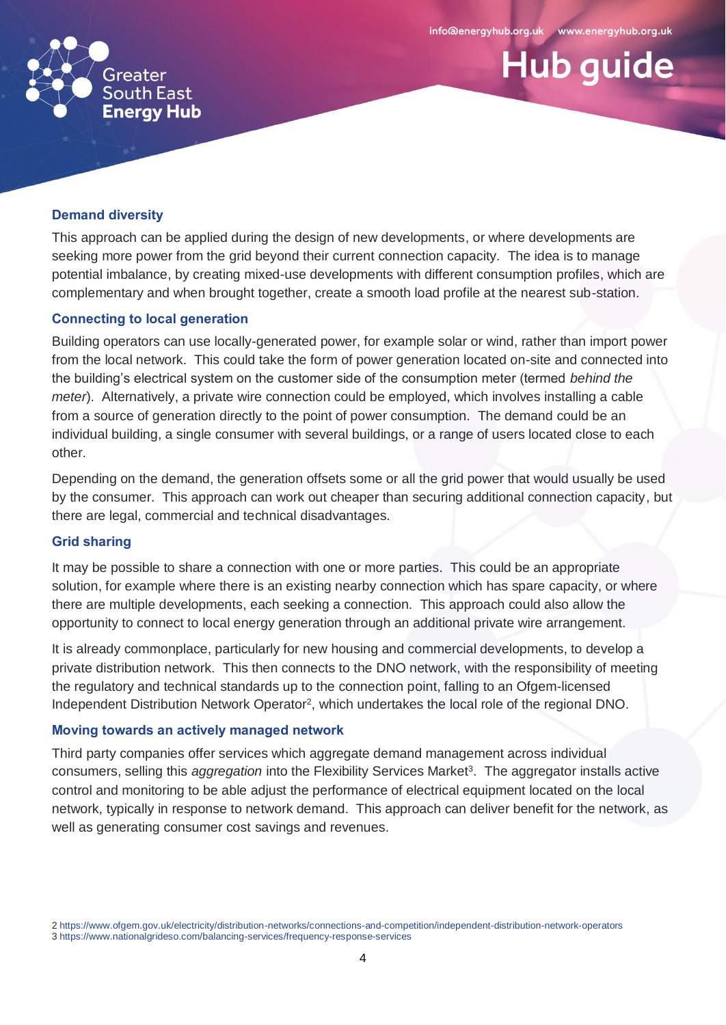**Hub guide** 



# **Demand diversity**

This approach can be applied during the design of new developments, or where developments are seeking more power from the grid beyond their current connection capacity. The idea is to manage potential imbalance, by creating mixed-use developments with different consumption profiles, which are complementary and when brought together, create a smooth load profile at the nearest sub-station.

#### **Connecting to local generation**

Building operators can use locally-generated power, for example solar or wind, rather than import power from the local network. This could take the form of power generation located on-site and connected into the building's electrical system on the customer side of the consumption meter (termed *behind the meter*). Alternatively, a private wire connection could be employed, which involves installing a cable from a source of generation directly to the point of power consumption. The demand could be an individual building, a single consumer with several buildings, or a range of users located close to each other.

Depending on the demand, the generation offsets some or all the grid power that would usually be used by the consumer. This approach can work out cheaper than securing additional connection capacity, but there are legal, commercial and technical disadvantages.

#### **Grid sharing**

It may be possible to share a connection with one or more parties. This could be an appropriate solution, for example where there is an existing nearby connection which has spare capacity, or where there are multiple developments, each seeking a connection. This approach could also allow the opportunity to connect to local energy generation through an additional private wire arrangement.

It is already commonplace, particularly for new housing and commercial developments, to develop a private distribution network. This then connects to the DNO network, with the responsibility of meeting the regulatory and technical standards up to the connection point, falling to an Ofgem-licensed Independent Distribution Network Operator<sup>2</sup>, which undertakes the local role of the regional DNO.

#### **Moving towards an actively managed network**

Third party companies offer services which aggregate demand management across individual consumers, selling this *aggregation* into the Flexibility Services Market<sup>3</sup>. The aggregator installs active control and monitoring to be able adjust the performance of electrical equipment located on the local network, typically in response to network demand. This approach can deliver benefit for the network, as well as generating consumer cost savings and revenues.

<sup>2</sup> <https://www.ofgem.gov.uk/electricity/distribution-networks/connections-and-competition/independent-distribution-network-operators> 3 <https://www.nationalgrideso.com/balancing-services/frequency-response-services>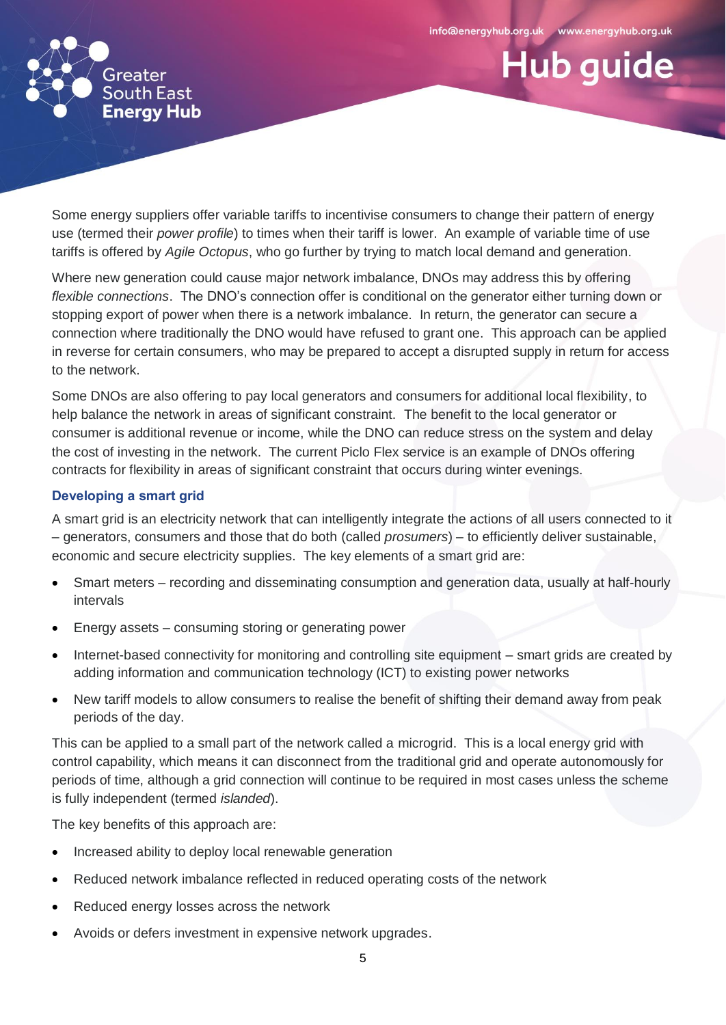**Hub guide** 



Some energy suppliers offer variable tariffs to incentivise consumers to change their pattern of energy use (termed their *power profile*) to times when their tariff is lower. An example of variable time of use tariffs is offered by *Agile Octopus*, who go further by trying to match local demand and generation.

Where new generation could cause major network imbalance, DNOs may address this by offering *flexible connections*. The DNO's connection offer is conditional on the generator either turning down or stopping export of power when there is a network imbalance. In return, the generator can secure a connection where traditionally the DNO would have refused to grant one. This approach can be applied in reverse for certain consumers, who may be prepared to accept a disrupted supply in return for access to the network.

Some DNOs are also offering to pay local generators and consumers for additional local flexibility, to help balance the network in areas of significant constraint. The benefit to the local generator or consumer is additional revenue or income, while the DNO can reduce stress on the system and delay the cost of investing in the network. The current Piclo Flex service is an example of DNOs offering contracts for flexibility in areas of significant constraint that occurs during winter evenings.

# **Developing a smart grid**

A smart grid is an electricity network that can intelligently integrate the actions of all users connected to it – generators, consumers and those that do both (called *prosumers*) – to efficiently deliver sustainable, economic and secure electricity supplies. The key elements of a smart grid are:

- Smart meters recording and disseminating consumption and generation data, usually at half-hourly intervals
- Energy assets consuming storing or generating power
- Internet-based connectivity for monitoring and controlling site equipment smart grids are created by adding information and communication technology (ICT) to existing power networks
- New tariff models to allow consumers to realise the benefit of shifting their demand away from peak periods of the day.

This can be applied to a small part of the network called a microgrid. This is a local energy grid with control capability, which means it can disconnect from the traditional grid and operate autonomously for periods of time, although a grid connection will continue to be required in most cases unless the scheme is fully independent (termed *islanded*).

The key benefits of this approach are:

- Increased ability to deploy local renewable generation
- Reduced network imbalance reflected in reduced operating costs of the network
- Reduced energy losses across the network
- Avoids or defers investment in expensive network upgrades.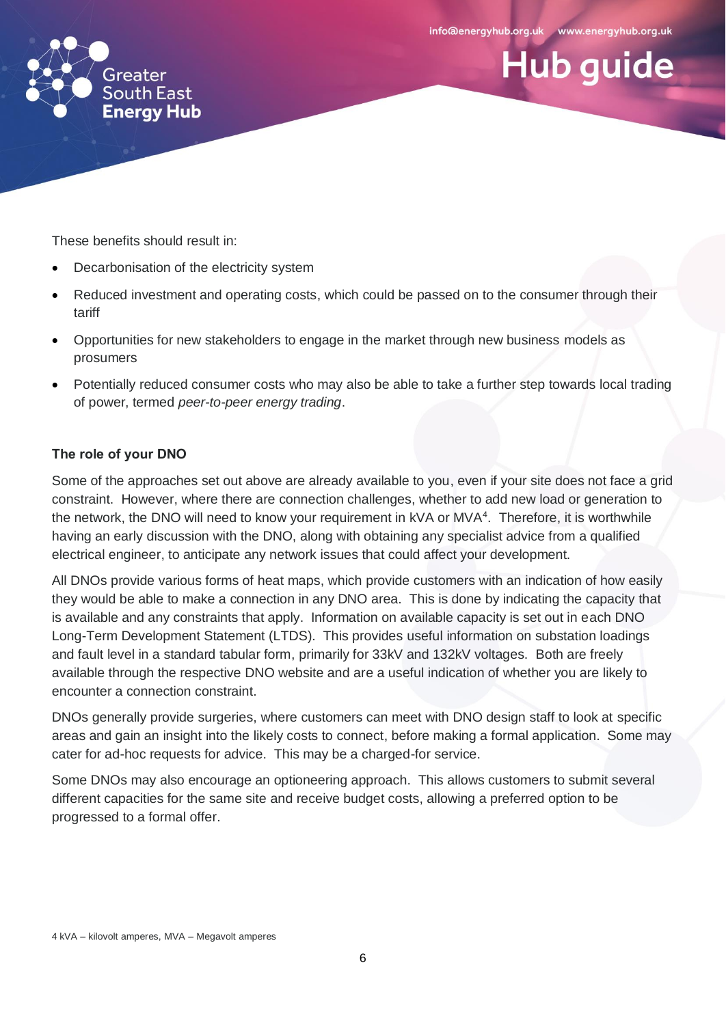**Hub guide** 



These benefits should result in:

- Decarbonisation of the electricity system
- Reduced investment and operating costs, which could be passed on to the consumer through their tariff
- Opportunities for new stakeholders to engage in the market through new business models as prosumers
- Potentially reduced consumer costs who may also be able to take a further step towards local trading of power, termed *peer-to-peer energy trading*.

# **The role of your DNO**

Some of the approaches set out above are already available to you, even if your site does not face a grid constraint. However, where there are connection challenges, whether to add new load or generation to the network, the DNO will need to know your requirement in kVA or MVA<sup>4</sup>. Therefore, it is worthwhile having an early discussion with the DNO, along with obtaining any specialist advice from a qualified electrical engineer, to anticipate any network issues that could affect your development.

All DNOs provide various forms of heat maps, which provide customers with an indication of how easily they would be able to make a connection in any DNO area. This is done by indicating the capacity that is available and any constraints that apply. Information on available capacity is set out in each DNO Long-Term Development Statement (LTDS). This provides useful information on substation loadings and fault level in a standard tabular form, primarily for 33kV and 132kV voltages. Both are freely available through the respective DNO website and are a useful indication of whether you are likely to encounter a connection constraint.

DNOs generally provide surgeries, where customers can meet with DNO design staff to look at specific areas and gain an insight into the likely costs to connect, before making a formal application. Some may cater for ad-hoc requests for advice. This may be a charged-for service.

Some DNOs may also encourage an optioneering approach. This allows customers to submit several different capacities for the same site and receive budget costs, allowing a preferred option to be progressed to a formal offer.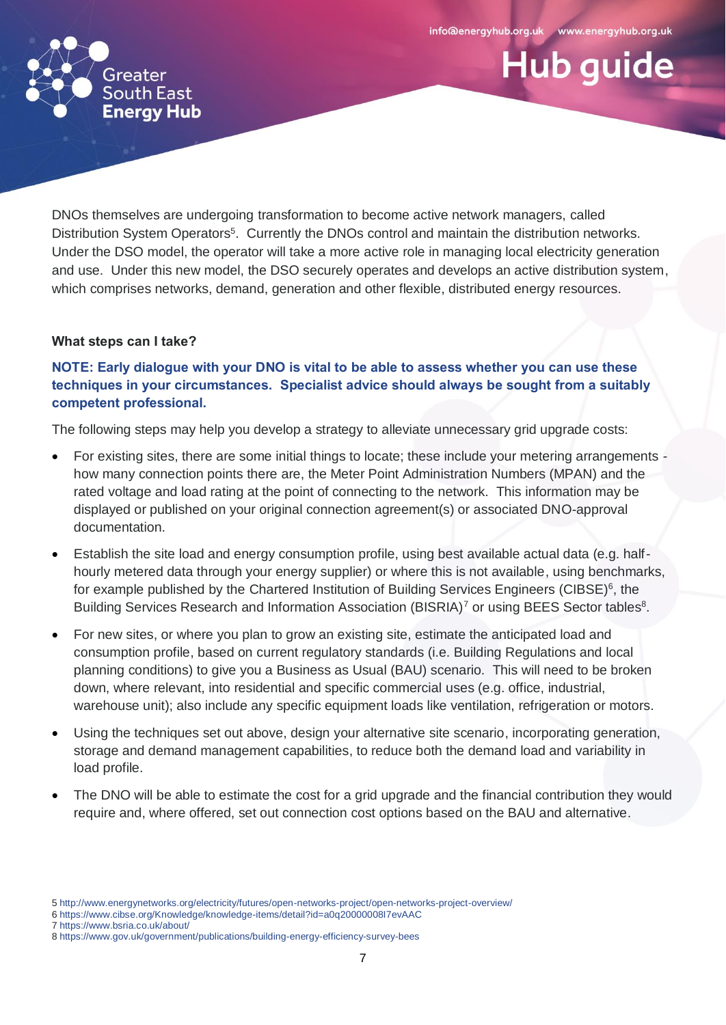**Hub guide** 



DNOs themselves are undergoing transformation to become active network managers, called Distribution System Operators<sup>5</sup>. Currently the DNOs control and maintain the distribution networks. Under the DSO model, the operator will take a more active role in managing local electricity generation and use. Under this new model, the DSO securely operates and develops an active distribution system, which comprises networks, demand, generation and other flexible, distributed energy resources.

#### **What steps can I take?**

# **NOTE: Early dialogue with your DNO is vital to be able to assess whether you can use these techniques in your circumstances. Specialist advice should always be sought from a suitably competent professional.**

The following steps may help you develop a strategy to alleviate unnecessary grid upgrade costs:

- For existing sites, there are some initial things to locate; these include your metering arrangements how many connection points there are, the Meter Point Administration Numbers (MPAN) and the rated voltage and load rating at the point of connecting to the network. This information may be displayed or published on your original connection agreement(s) or associated DNO-approval documentation.
- Establish the site load and energy consumption profile, using best available actual data (e.g. halfhourly metered data through your energy supplier) or where this is not available, using benchmarks, for example published by the Chartered Institution of Building Services Engineers (CIBSE)<sup>6</sup>, the Building Services Research and Information Association (BISRIA)<sup>7</sup> or using BEES Sector tables<sup>8</sup>.
- For new sites, or where you plan to grow an existing site, estimate the anticipated load and consumption profile, based on current regulatory standards (i.e. Building Regulations and local planning conditions) to give you a Business as Usual (BAU) scenario. This will need to be broken down, where relevant, into residential and specific commercial uses (e.g. office, industrial, warehouse unit); also include any specific equipment loads like ventilation, refrigeration or motors.
- Using the techniques set out above, design your alternative site scenario, incorporating generation, storage and demand management capabilities, to reduce both the demand load and variability in load profile.
- The DNO will be able to estimate the cost for a grid upgrade and the financial contribution they would require and, where offered, set out connection cost options based on the BAU and alternative.

<sup>5</sup> <http://www.energynetworks.org/electricity/futures/open-networks-project/open-networks-project-overview/>

<sup>6</sup> <https://www.cibse.org/Knowledge/knowledge-items/detail?id=a0q20000008I7evAAC>

<sup>7</sup> https://www.bsria.co.uk/about/

<sup>8</sup> https://www.gov.uk/government/publications/building-energy-efficiency-survey-bees